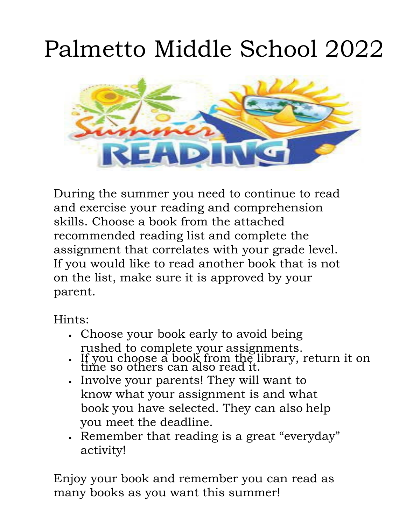# Palmetto Middle School 2022



During the summer you need to continue to read and exercise your reading and comprehension skills. Choose a book from the attached recommended reading list and complete the assignment that correlates with your grade level. If you would like to read another book that is not on the list, make sure it is approved by your parent.

Hints:

- Choose your book early to avoid being rushed to complete your assignments.
- If you choose a book from the library, return it on time so others can also read it.
- Involve your parents! They will want to know what your assignment is and what book you have selected. They can also help you meet the deadline.
- Remember that reading is a great "everyday" activity!

Enjoy your book and remember you can read as many books as you want this summer!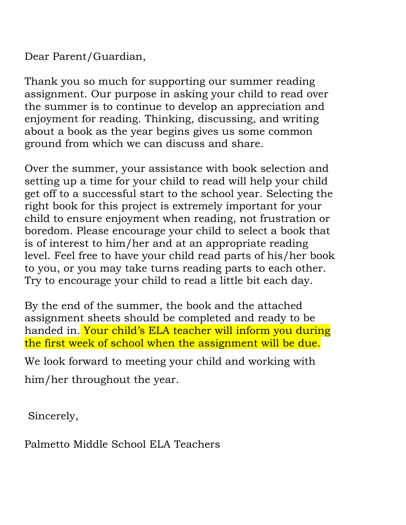Dear Parent/Guardian,

Thank you so much for supporting our summer reading assignment. Our purpose in asking your child to read over the summer is to continue to develop an appreciation and enjoyment for reading. Thinking, discussing, and writing about a book as the year begins gives us some common ground from which we can discuss and share.

Over the summer, your assistance with book selection and setting up a time for your child to read will help your child get off to a successful start to the school year. Selecting the right book for this project is extremely important for your child to ensure enjoyment when reading, not frustration or boredom. Please encourage your child to select a book that is of interest to him/her and at an appropriate reading level. Feel free to have your child read parts of his/her book to you, or you may take turns reading parts to each other. Try to encourage your child to read a little bit each day.

By the end of the summer, the book and the attached assignment sheets should be completed and ready to be handed in. Your child's ELA teacher will inform you during the first week of school when the assignment will be due.

We look forward to meeting your child and working with him/her throughout the year.

Sincerely,

Palmetto Middle School ELA Teachers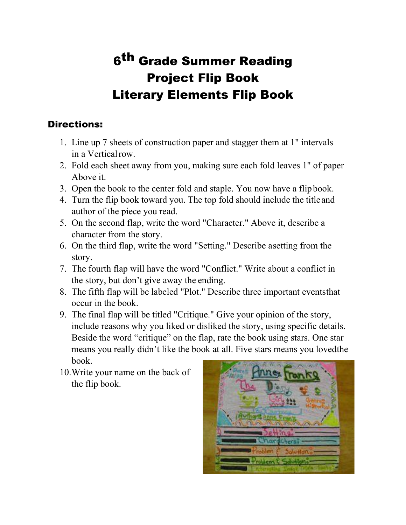## 6<sup>th</sup> Grade Summer Reading Project Flip Book Literary Elements Flip Book

#### Directions:

- 1. Line up 7 sheets of construction paper and stagger them at 1" intervals in a Verticalrow.
- 2. Fold each sheet away from you, making sure each fold leaves 1" of paper Above it.
- 3. Open the book to the center fold and staple. You now have a flipbook.
- 4. Turn the flip book toward you. The top fold should include the title and author of the piece you read.
- 5. On the second flap, write the word "Character." Above it, describe a character from the story.
- 6. On the third flap, write the word "Setting." Describe asetting from the story.
- 7. The fourth flap will have the word "Conflict." Write about a conflict in the story, but don't give away the ending.
- 8. The fifth flap will be labeled "Plot." Describe three important eventsthat occur in the book.
- 9. The final flap will be titled "Critique." Give your opinion of the story, include reasons why you liked or disliked the story, using specific details. Beside the word "critique" on the flap, rate the book using stars. One star means you really didn't like the book at all. Five stars means you lovedthe book.
- 10.Write your name on the back of the flip book.

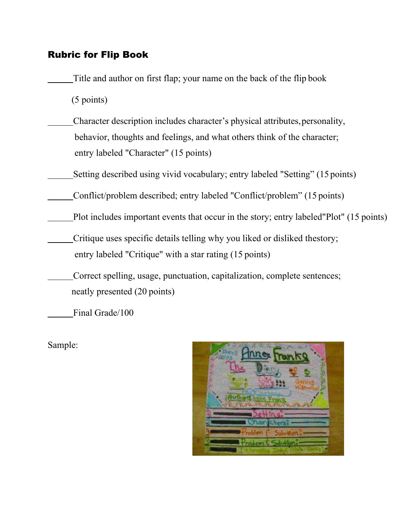#### Rubric for Flip Book

Title and author on first flap; your name on the back of the flip book

(5 points)

- Character description includes character's physical attributes, personality, behavior, thoughts and feelings, and what others think of the character; entry labeled "Character" (15 points)
- Setting described using vivid vocabulary; entry labeled "Setting" (15 points)
- Conflict/problem described; entry labeled "Conflict/problem" (15 points)
- Plot includes important events that occur in the story; entry labeled"Plot" (15 points)
- Critique uses specific details telling why you liked or disliked thestory; entry labeled "Critique" with a star rating (15 points)
- Correct spelling, usage, punctuation, capitalization, complete sentences; neatly presented (20 points)

Final Grade/100

Sample:

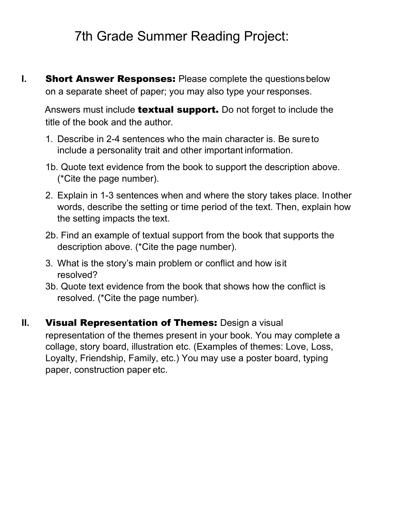## 7th Grade Summer Reading Project:

**I.** Short Answer Responses: Please complete the questions below on a separate sheet of paper; you may also type your responses.

Answers must include **textual support.** Do not forget to include the title of the book and the author*.*

- 1. Describe in 2-4 sentences who the main character is. Be sureto include a personality trait and other important information.
- 1b. Quote text evidence from the book to support the description above. (\*Cite the page number).
- 2. Explain in 1-3 sentences when and where the story takes place. Inother words, describe the setting or time period of the text. Then, explain how the setting impacts the text.
- 2b. Find an example of textual support from the book that supports the description above. (\*Cite the page number).
- 3. What is the story's main problem or conflict and how isit resolved?
- 3b. Quote text evidence from the book that shows how the conflict is resolved. (\*Cite the page number).
- **II.** Visual Representation of Themes: Design a visual representation of the themes present in your book. You may complete a collage, story board, illustration etc. (Examples of themes: Love, Loss, Loyalty, Friendship, Family, etc.) You may use a poster board, typing paper, construction paper etc.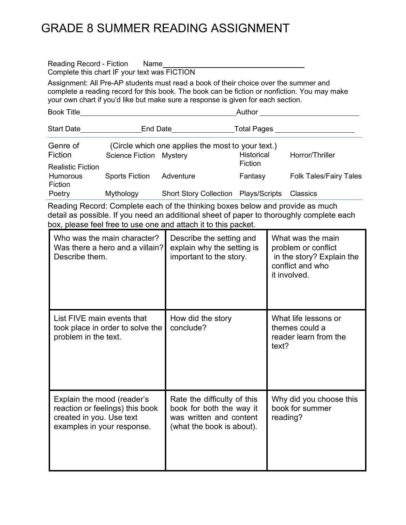### GRADE 8 SUMMER READING ASSIGNMENT

| Reading Record - Fiction Name<br>Complete this chart IF your text was FICTION                                                                                                                                                                                            |                          |                                                                                                                 |                                          |                                                                                                           |                                            |  |  |  |
|--------------------------------------------------------------------------------------------------------------------------------------------------------------------------------------------------------------------------------------------------------------------------|--------------------------|-----------------------------------------------------------------------------------------------------------------|------------------------------------------|-----------------------------------------------------------------------------------------------------------|--------------------------------------------|--|--|--|
| Assignment: All Pre-AP students must read a book of their choice over the summer and<br>complete a reading record for this book. The book can be fiction or nonfiction. You may make<br>your own chart if you'd like but make sure a response is given for each section. |                          |                                                                                                                 |                                          |                                                                                                           |                                            |  |  |  |
|                                                                                                                                                                                                                                                                          |                          |                                                                                                                 |                                          |                                                                                                           |                                            |  |  |  |
|                                                                                                                                                                                                                                                                          |                          | Start Date__________________End Date______________________Total Pages ___________                               |                                          |                                                                                                           |                                            |  |  |  |
| Genre of<br>Fiction<br><b>Realistic Fiction</b>                                                                                                                                                                                                                          | Science Fiction Mystery  | (Circle which one applies the most to your text.)                                                               | Historical<br>Horror/Thriller<br>Fiction |                                                                                                           |                                            |  |  |  |
| <b>Humorous</b><br>Fiction                                                                                                                                                                                                                                               | Sports Fiction Adventure |                                                                                                                 |                                          |                                                                                                           | Fantasy Folk Tales/Fairy Tales             |  |  |  |
| Poetry                                                                                                                                                                                                                                                                   |                          | Mythology Short Story Collection Plays/Scripts Classics                                                         |                                          |                                                                                                           |                                            |  |  |  |
| Reading Record: Complete each of the thinking boxes below and provide as much<br>detail as possible. If you need an additional sheet of paper to thoroughly complete each<br>box, please feel free to use one and attach it to this packet.                              |                          |                                                                                                                 |                                          |                                                                                                           |                                            |  |  |  |
| Who was the main character?<br>Was there a hero and a villain?<br>Describe them.                                                                                                                                                                                         |                          | Describe the setting and<br>explain why the setting is<br>important to the story.                               |                                          | What was the main<br>problem or conflict<br>in the story? Explain the<br>conflict and who<br>it involved. |                                            |  |  |  |
| List FIVE main events that<br>took place in order to solve the<br>problem in the text.                                                                                                                                                                                   |                          | How did the story<br>conclude?                                                                                  |                                          | What life lessons or<br>themes could a<br>reader learn from the<br>text?                                  |                                            |  |  |  |
| Explain the mood (reader's<br>reaction or feelings) this book<br>created in you. Use text<br>examples in your response.                                                                                                                                                  |                          | Rate the difficulty of this<br>book for both the way it<br>was written and content<br>(what the book is about). |                                          | reading?                                                                                                  | Why did you choose this<br>book for summer |  |  |  |